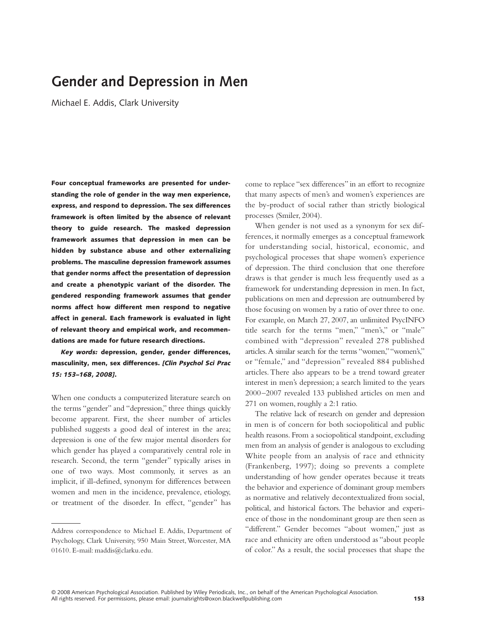# **Gender and Depression in Men**

Michael E. Addis, Clark University

**Four conceptual frameworks are presented for understanding the role of gender in the way men experience, express, and respond to depression. The sex differences framework is often limited by the absence of relevant theory to guide research. The masked depression framework assumes that depression in men can be hidden by substance abuse and other externalizing problems. The masculine depression framework assumes that gender norms affect the presentation of depression and create a phenotypic variant of the disorder. The gendered responding framework assumes that gender norms affect how different men respond to negative affect in general. Each framework is evaluated in light of relevant theory and empirical work, and recommendations are made for future research directions.**

*Key words:* **depression, gender, gender differences, masculinity, men, sex differences.** *[Clin Psychol Sci Prac 15: 153–168, 2008]***.**

When one conducts a computerized literature search on the terms "gender" and "depression," three things quickly become apparent. First, the sheer number of articles published suggests a good deal of interest in the area; depression is one of the few major mental disorders for which gender has played a comparatively central role in research. Second, the term "gender" typically arises in one of two ways. Most commonly, it serves as an implicit, if ill-defined, synonym for differences between women and men in the incidence, prevalence, etiology, or treatment of the disorder. In effect, "gender" has

come to replace "sex differences" in an effort to recognize that many aspects of men's and women's experiences are the by-product of social rather than strictly biological processes (Smiler, 2004).

When gender is not used as a synonym for sex differences, it normally emerges as a conceptual framework for understanding social, historical, economic, and psychological processes that shape women's experience of depression. The third conclusion that one therefore draws is that gender is much less frequently used as a framework for understanding depression in men. In fact, publications on men and depression are outnumbered by those focusing on women by a ratio of over three to one. For example, on March 27, 2007, an unlimited PsycINFO title search for the terms "men," "men's," or "male" combined with "depression" revealed 278 published articles. A similar search for the terms "women," "women's," or "female," and "depression" revealed 884 published articles. There also appears to be a trend toward greater interest in men's depression; a search limited to the years 2000–2007 revealed 133 published articles on men and 271 on women, roughly a 2:1 ratio.

The relative lack of research on gender and depression in men is of concern for both sociopolitical and public health reasons. From a sociopolitical standpoint, excluding men from an analysis of gender is analogous to excluding White people from an analysis of race and ethnicity (Frankenberg, 1997); doing so prevents a complete understanding of how gender operates because it treats the behavior and experience of dominant group members as normative and relatively decontextualized from social, political, and historical factors. The behavior and experience of those in the nondominant group are then seen as "different." Gender becomes "about women," just as race and ethnicity are often understood as "about people of color." As a result, the social processes that shape the

Address correspondence to Michael E. Addis, Department of Psychology, Clark University, 950 Main Street, Worcester, MA 01610. E-mail: maddis@clarku.edu.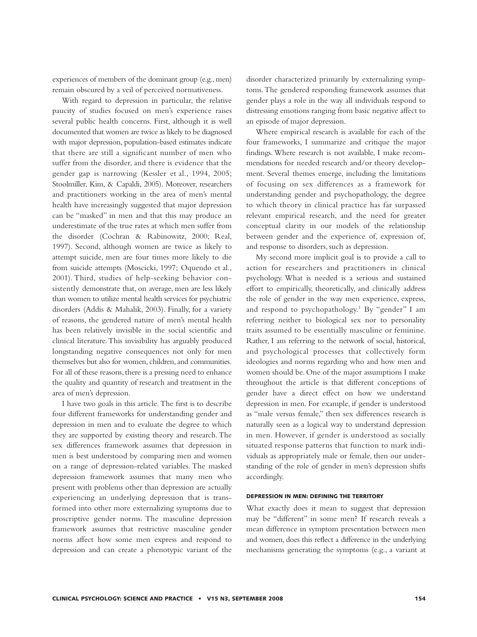experiences of members of the dominant group (e.g., men) remain obscured by a veil of perceived normativeness.

With regard to depression in particular, the relative paucity of studies focused on men's experience raises several public health concerns. First, although it is well documented that women are twice as likely to be diagnosed with major depression, population-based estimates indicate that there are still a significant number of men who suffer from the disorder, and there is evidence that the gender gap is narrowing (Kessler et al., 1994, 2005; Stoolmiller, Kim, & Capaldi, 2005). Moreover, researchers and practitioners working in the area of men's mental health have increasingly suggested that major depression can be "masked" in men and that this may produce an underestimate of the true rates at which men suffer from the disorder (Cochran & Rabinowitz, 2000; Real, 1997). Second, although women are twice as likely to attempt suicide, men are four times more likely to die from suicide attempts (Moscicki, 1997; Oquendo et al., 2001). Third, studies of help-seeking behavior consistently demonstrate that, on average, men are less likely than women to utilize mental health services for psychiatric disorders (Addis & Mahalik, 2003). Finally, for a variety of reasons, the gendered nature of men's mental health has been relatively invisible in the social scientific and clinical literature. This invisibility has arguably produced longstanding negative consequences not only for men themselves but also for women, children, and communities. For all of these reasons, there is a pressing need to enhance the quality and quantity of research and treatment in the area of men's depression.

I have two goals in this article. The first is to describe four different frameworks for understanding gender and depression in men and to evaluate the degree to which they are supported by existing theory and research. The sex differences framework assumes that depression in men is best understood by comparing men and women on a range of depression-related variables. The masked depression framework assumes that many men who present with problems other than depression are actually experiencing an underlying depression that is transformed into other more externalizing symptoms due to proscriptive gender norms. The masculine depression framework assumes that restrictive masculine gender norms affect how some men express and respond to depression and can create a phenotypic variant of the disorder characterized primarily by externalizing symptoms. The gendered responding framework assumes that gender plays a role in the way all individuals respond to distressing emotions ranging from basic negative affect to an episode of major depression.

Where empirical research is available for each of the four frameworks, I summarize and critique the major findings. Where research is not available, I make recommendations for needed research and/or theory development. Several themes emerge, including the limitations of focusing on sex differences as a framework for understanding gender and psychopathology, the degree to which theory in clinical practice has far surpassed relevant empirical research, and the need for greater conceptual clarity in our models of the relationship between gender and the experience of, expression of, and response to disorders, such as depression.

My second more implicit goal is to provide a call to action for researchers and practitioners in clinical psychology. What is needed is a serious and sustained effort to empirically, theoretically, and clinically address the role of gender in the way men experience, express, and respond to psychopathology.<sup>1</sup> By "gender" I am referring neither to biological sex nor to personality traits assumed to be essentially masculine or feminine. Rather, I am referring to the network of social, historical, and psychological processes that collectively form ideologies and norms regarding who and how men and women should be. One of the major assumptions I make throughout the article is that different conceptions of gender have a direct effect on how we understand depression in men. For example, if gender is understood as "male versus female," then sex differences research is naturally seen as a logical way to understand depression in men. However, if gender is understood as socially situated response patterns that function to mark individuals as appropriately male or female, then our understanding of the role of gender in men's depression shifts accordingly.

# **DEPRESSION IN MEN: DEFINING THE TERRITORY**

What exactly does it mean to suggest that depression may be "different" in some men? If research reveals a mean difference in symptom presentation between men and women, does this reflect a difference in the underlying mechanisms generating the symptoms (e.g., a variant at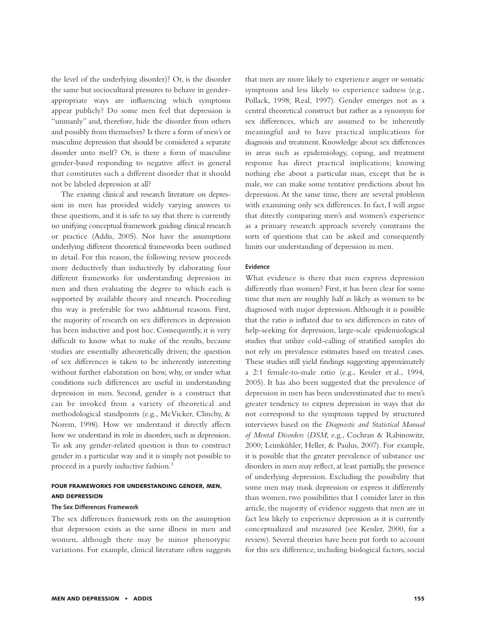the level of the underlying disorder)? Or, is the disorder the same but sociocultural pressures to behave in genderappropriate ways are influencing which symptoms appear publicly? Do some men feel that depression is "unmanly" and, therefore, hide the disorder from others and possibly from themselves? Is there a form of men's or masculine depression that should be considered a separate disorder unto itself? Or, is there a form of masculine gender-based responding to negative affect in general that constitutes such a different disorder that it should not be labeled depression at all?

The existing clinical and research literature on depression in men has provided widely varying answers to these questions, and it is safe to say that there is currently no unifying conceptual framework guiding clinical research or practice (Addis, 2005). Nor have the assumptions underlying different theoretical frameworks been outlined in detail. For this reason, the following review proceeds more deductively than inductively by elaborating four different frameworks for understanding depression in men and then evaluating the degree to which each is supported by available theory and research. Proceeding this way is preferable for two additional reasons. First, the majority of research on sex differences in depression has been inductive and post hoc. Consequently, it is very difficult to know what to make of the results, because studies are essentially atheoretically driven; the question of sex differences is taken to be inherently interesting without further elaboration on how, why, or under what conditions such differences are useful in understanding depression in men. Second, gender is a construct that can be invoked from a variety of theoretical and methodological standpoints (e.g., McVicker, Clinchy, & Norem, 1998). How we understand it directly affects how we understand its role in disorders, such as depression. To ask any gender-related question is thus to construct gender in a particular way and it is simply not possible to proceed in a purely inductive fashion.<sup>2</sup>

# **FOUR FRAMEWORKS FOR UNDERSTANDING GENDER, MEN, AND DEPRESSION**

#### **The Sex Differences Framework**

The sex differences framework rests on the assumption that depression exists as the same illness in men and women, although there may be minor phenotypic variations. For example, clinical literature often suggests that men are more likely to experience anger or somatic symptoms and less likely to experience sadness (e.g., Pollack, 1998; Real, 1997). Gender emerges not as a central theoretical construct but rather as a synonym for sex differences, which are assumed to be inherently meaningful and to have practical implications for diagnosis and treatment. Knowledge about sex differences in areas such as epidemiology, coping, and treatment response has direct practical implications; knowing nothing else about a particular man, except that he is male, we can make some tentative predictions about his depression. At the same time, there are several problems with examining only sex differences. In fact, I will argue that directly comparing men's and women's experience as a primary research approach severely constrains the sorts of questions that can be asked and consequently limits our understanding of depression in men.

#### **Evidence**

What evidence is there that men express depression differently than women? First, it has been clear for some time that men are roughly half as likely as women to be diagnosed with major depression. Although it is possible that the ratio is inflated due to sex differences in rates of help-seeking for depression, large-scale epidemiological studies that utilize cold-calling of stratified samples do not rely on prevalence estimates based on treated cases. These studies still yield findings suggesting approximately a 2:1 female-to-male ratio (e.g., Kessler et al., 1994, 2005). It has also been suggested that the prevalence of depression in men has been underestimated due to men's greater tendency to express depression in ways that do not correspond to the symptoms tapped by structured interviews based on the *Diagnostic and Statistical Manual of Mental Disorders* (*DSM*; e.g., Cochran & Rabinowitz, 2000; Leimkühler, Heller, & Paulus, 2007). For example, it is possible that the greater prevalence of substance use disorders in men may reflect, at least partially, the presence of underlying depression. Excluding the possibility that some men may mask depression or express it differently than women, two possibilities that I consider later in this article, the majority of evidence suggests that men are in fact less likely to experience depression as it is currently conceptualized and measured (see Kessler, 2000, for a review). Several theories have been put forth to account for this sex difference, including biological factors, social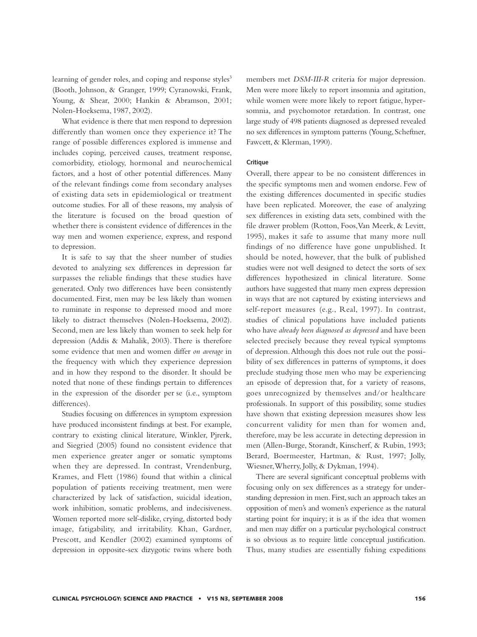learning of gender roles, and coping and response styles<sup>3</sup> (Booth, Johnson, & Granger, 1999; Cyranowski, Frank, Young, & Shear, 2000; Hankin & Abramson, 2001; Nolen-Hoeksema, 1987, 2002).

What evidence is there that men respond to depression differently than women once they experience it? The range of possible differences explored is immense and includes coping, perceived causes, treatment response, comorbidity, etiology, hormonal and neurochemical factors, and a host of other potential differences. Many of the relevant findings come from secondary analyses of existing data sets in epidemiological or treatment outcome studies. For all of these reasons, my analysis of the literature is focused on the broad question of whether there is consistent evidence of differences in the way men and women experience, express, and respond to depression.

It is safe to say that the sheer number of studies devoted to analyzing sex differences in depression far surpasses the reliable findings that these studies have generated. Only two differences have been consistently documented. First, men may be less likely than women to ruminate in response to depressed mood and more likely to distract themselves (Nolen-Hoeksema, 2002). Second, men are less likely than women to seek help for depression (Addis & Mahalik, 2003). There is therefore some evidence that men and women differ *on average* in the frequency with which they experience depression and in how they respond to the disorder. It should be noted that none of these findings pertain to differences in the expression of the disorder per se (i.e., symptom differences).

Studies focusing on differences in symptom expression have produced inconsistent findings at best. For example, contrary to existing clinical literature, Winkler, Pjrerk, and Siegried (2005) found no consistent evidence that men experience greater anger or somatic symptoms when they are depressed. In contrast, Vrendenburg, Krames, and Flett (1986) found that within a clinical population of patients receiving treatment, men were characterized by lack of satisfaction, suicidal ideation, work inhibition, somatic problems, and indecisiveness. Women reported more self-dislike, crying, distorted body image, fatigability, and irritability. Khan, Gardner, Prescott, and Kendler (2002) examined symptoms of depression in opposite-sex dizygotic twins where both

members met *DSM-III-R* criteria for major depression. Men were more likely to report insomnia and agitation, while women were more likely to report fatigue, hypersomnia, and psychomotor retardation. In contrast, one large study of 498 patients diagnosed as depressed revealed no sex differences in symptom patterns (Young, Scheftner, Fawcett, & Klerman, 1990).

## **Critique**

Overall, there appear to be no consistent differences in the specific symptoms men and women endorse. Few of the existing differences documented in specific studies have been replicated. Moreover, the ease of analyzing sex differences in existing data sets, combined with the file drawer problem (Rotton, Foos, Van Meerk, & Levitt, 1995), makes it safe to assume that many more null findings of no difference have gone unpublished. It should be noted, however, that the bulk of published studies were not well designed to detect the sorts of sex differences hypothesized in clinical literature. Some authors have suggested that many men express depression in ways that are not captured by existing interviews and self-report measures (e.g., Real, 1997). In contrast, studies of clinical populations have included patients who have *already been diagnosed as depressed* and have been selected precisely because they reveal typical symptoms of depression. Although this does not rule out the possibility of sex differences in patterns of symptoms, it does preclude studying those men who may be experiencing an episode of depression that, for a variety of reasons, goes unrecognized by themselves and/or healthcare professionals. In support of this possibility, some studies have shown that existing depression measures show less concurrent validity for men than for women and, therefore, may be less accurate in detecting depression in men (Allen-Burge, Storandt, Kinscherf, & Rubin, 1993; Berard, Boermeester, Hartman, & Rust, 1997; Jolly, Wiesner, Wherry, Jolly, & Dykman, 1994).

There are several significant conceptual problems with focusing only on sex differences as a strategy for understanding depression in men. First, such an approach takes an opposition of men's and women's experience as the natural starting point for inquiry; it is as if the idea that women and men may differ on a particular psychological construct is so obvious as to require little conceptual justification. Thus, many studies are essentially fishing expeditions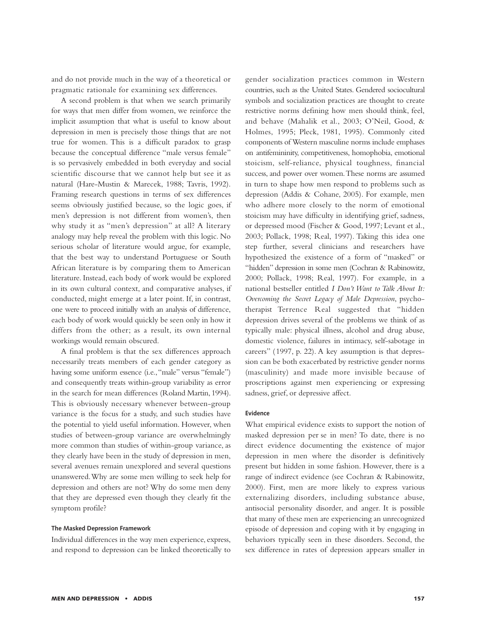and do not provide much in the way of a theoretical or pragmatic rationale for examining sex differences.

A second problem is that when we search primarily for ways that men differ from women, we reinforce the implicit assumption that what is useful to know about depression in men is precisely those things that are not true for women. This is a difficult paradox to grasp because the conceptual difference "male versus female" is so pervasively embedded in both everyday and social scientific discourse that we cannot help but see it as natural (Hare-Mustin & Marecek, 1988; Tavris, 1992). Framing research questions in terms of sex differences seems obviously justified because, so the logic goes, if men's depression is not different from women's, then why study it as "men's depression" at all? A literary analogy may help reveal the problem with this logic. No serious scholar of literature would argue, for example, that the best way to understand Portuguese or South African literature is by comparing them to American literature. Instead, each body of work would be explored in its own cultural context, and comparative analyses, if conducted, might emerge at a later point. If, in contrast, one were to proceed initially with an analysis of difference, each body of work would quickly be seen only in how it differs from the other; as a result, its own internal workings would remain obscured.

A final problem is that the sex differences approach necessarily treats members of each gender category as having some uniform essence (i.e., "male" versus "female") and consequently treats within-group variability as error in the search for mean differences (Roland Martin, 1994). This is obviously necessary whenever between-group variance is the focus for a study, and such studies have the potential to yield useful information. However, when studies of between-group variance are overwhelmingly more common than studies of within-group variance, as they clearly have been in the study of depression in men, several avenues remain unexplored and several questions unanswered. Why are some men willing to seek help for depression and others are not? Why do some men deny that they are depressed even though they clearly fit the symptom profile?

#### **The Masked Depression Framework**

Individual differences in the way men experience, express, and respond to depression can be linked theoretically to gender socialization practices common in Western countries, such as the United States. Gendered sociocultural symbols and socialization practices are thought to create restrictive norms defining how men should think, feel, and behave (Mahalik et al., 2003; O'Neil, Good, & Holmes, 1995; Pleck, 1981, 1995). Commonly cited components of Western masculine norms include emphases on antifemininity, competitiveness, homophobia, emotional stoicism, self-reliance, physical toughness, financial success, and power over women. These norms are assumed in turn to shape how men respond to problems such as depression (Addis & Cohane, 2005). For example, men who adhere more closely to the norm of emotional stoicism may have difficulty in identifying grief, sadness, or depressed mood (Fischer & Good, 1997; Levant et al., 2003; Pollack, 1998; Real, 1997). Taking this idea one step further, several clinicians and researchers have hypothesized the existence of a form of "masked" or "hidden" depression in some men (Cochran & Rabinowitz, 2000; Pollack, 1998; Real, 1997). For example, in a national bestseller entitled *I Don't Want to Talk About It: Overcoming the Secret Legacy of Male Depression*, psychotherapist Terrence Real suggested that "hidden depression drives several of the problems we think of as typically male: physical illness, alcohol and drug abuse, domestic violence, failures in intimacy, self-sabotage in careers" (1997, p. 22). A key assumption is that depression can be both exacerbated by restrictive gender norms (masculinity) and made more invisible because of proscriptions against men experiencing or expressing sadness, grief, or depressive affect.

# **Evidence**

What empirical evidence exists to support the notion of masked depression per se in men? To date, there is no direct evidence documenting the existence of major depression in men where the disorder is definitively present but hidden in some fashion. However, there is a range of indirect evidence (see Cochran & Rabinowitz, 2000). First, men are more likely to express various externalizing disorders, including substance abuse, antisocial personality disorder, and anger. It is possible that many of these men are experiencing an unrecognized episode of depression and coping with it by engaging in behaviors typically seen in these disorders. Second, the sex difference in rates of depression appears smaller in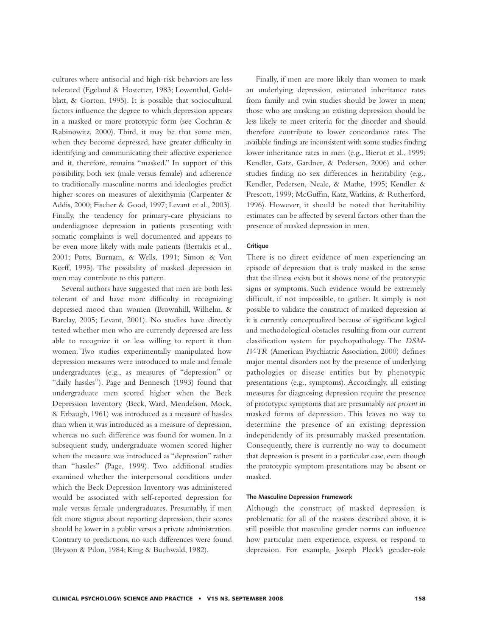cultures where antisocial and high-risk behaviors are less tolerated (Egeland & Hostetter, 1983; Lowenthal, Goldblatt, & Gorton, 1995). It is possible that sociocultural factors influence the degree to which depression appears in a masked or more prototypic form (see Cochran & Rabinowitz, 2000). Third, it may be that some men, when they become depressed, have greater difficulty in identifying and communicating their affective experience and it, therefore, remains "masked." In support of this possibility, both sex (male versus female) and adherence to traditionally masculine norms and ideologies predict higher scores on measures of alexithymia (Carpenter & Addis, 2000; Fischer & Good, 1997; Levant et al., 2003). Finally, the tendency for primary-care physicians to underdiagnose depression in patients presenting with somatic complaints is well documented and appears to be even more likely with male patients (Bertakis et al., 2001; Potts, Burnam, & Wells, 1991; Simon & Von Korff, 1995). The possibility of masked depression in men may contribute to this pattern.

Several authors have suggested that men are both less tolerant of and have more difficulty in recognizing depressed mood than women (Brownhill, Wilhelm, & Barclay, 2005; Levant, 2001). No studies have directly tested whether men who are currently depressed are less able to recognize it or less willing to report it than women. Two studies experimentally manipulated how depression measures were introduced to male and female undergraduates (e.g., as measures of "depression" or "daily hassles"). Page and Bennesch (1993) found that undergraduate men scored higher when the Beck Depression Inventory (Beck, Ward, Mendelson, Mock, & Erbaugh, 1961) was introduced as a measure of hassles than when it was introduced as a measure of depression, whereas no such difference was found for women. In a subsequent study, undergraduate women scored higher when the measure was introduced as "depression" rather than "hassles" (Page, 1999). Two additional studies examined whether the interpersonal conditions under which the Beck Depression Inventory was administered would be associated with self-reported depression for male versus female undergraduates. Presumably, if men felt more stigma about reporting depression, their scores should be lower in a public versus a private administration. Contrary to predictions, no such differences were found (Bryson & Pilon, 1984; King & Buchwald, 1982).

Finally, if men are more likely than women to mask an underlying depression, estimated inheritance rates from family and twin studies should be lower in men; those who are masking an existing depression should be less likely to meet criteria for the disorder and should therefore contribute to lower concordance rates. The available findings are inconsistent with some studies finding lower inheritance rates in men (e.g., Bierut et al., 1999; Kendler, Gatz, Gardner, & Pedersen, 2006) and other studies finding no sex differences in heritability (e.g., Kendler, Pedersen, Neale, & Mathe, 1995; Kendler & Prescott, 1999; McGuffin, Katz, Watkins, & Rutherford, 1996). However, it should be noted that heritability estimates can be affected by several factors other than the presence of masked depression in men.

# **Critique**

There is no direct evidence of men experiencing an episode of depression that is truly masked in the sense that the illness exists but it shows none of the prototypic signs or symptoms. Such evidence would be extremely difficult, if not impossible, to gather. It simply is not possible to validate the construct of masked depression as it is currently conceptualized because of significant logical and methodological obstacles resulting from our current classification system for psychopathology. The *DSM-IV-TR* (American Psychiatric Association, 2000) defines major mental disorders not by the presence of underlying pathologies or disease entities but by phenotypic presentations (e.g., symptoms). Accordingly, all existing measures for diagnosing depression require the presence of prototypic symptoms that are presumably *not present* in masked forms of depression. This leaves no way to determine the presence of an existing depression independently of its presumably masked presentation. Consequently, there is currently no way to document that depression is present in a particular case, even though the prototypic symptom presentations may be absent or masked.

#### **The Masculine Depression Framework**

Although the construct of masked depression is problematic for all of the reasons described above, it is still possible that masculine gender norms can influence how particular men experience, express, or respond to depression. For example, Joseph Pleck's gender-role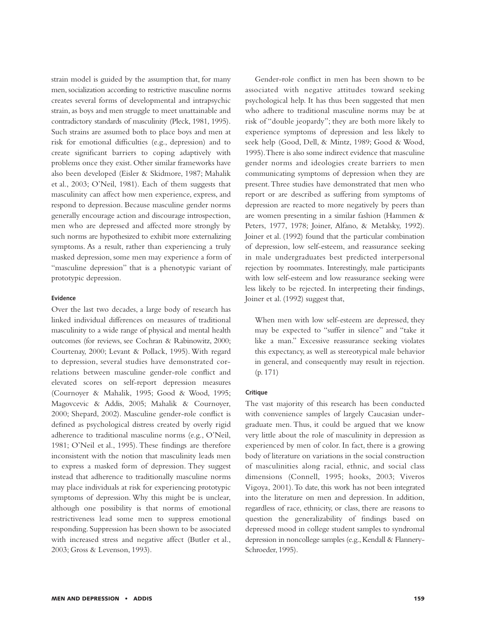strain model is guided by the assumption that, for many men, socialization according to restrictive masculine norms creates several forms of developmental and intrapsychic strain, as boys and men struggle to meet unattainable and contradictory standards of masculinity (Pleck, 1981, 1995). Such strains are assumed both to place boys and men at risk for emotional difficulties (e.g., depression) and to create significant barriers to coping adaptively with problems once they exist. Other similar frameworks have also been developed (Eisler & Skidmore, 1987; Mahalik et al., 2003; O'Neil, 1981). Each of them suggests that masculinity can affect how men experience, express, and respond to depression. Because masculine gender norms generally encourage action and discourage introspection, men who are depressed and affected more strongly by such norms are hypothesized to exhibit more externalizing symptoms. As a result, rather than experiencing a truly masked depression, some men may experience a form of "masculine depression" that is a phenotypic variant of prototypic depression.

# **Evidence**

Over the last two decades, a large body of research has linked individual differences on measures of traditional masculinity to a wide range of physical and mental health outcomes (for reviews, see Cochran & Rabinowitz, 2000; Courtenay, 2000; Levant & Pollack, 1995). With regard to depression, several studies have demonstrated correlations between masculine gender-role conflict and elevated scores on self-report depression measures (Cournoyer & Mahalik, 1995; Good & Wood, 1995; Magovcevic & Addis, 2005; Mahalik & Cournoyer, 2000; Shepard, 2002). Masculine gender-role conflict is defined as psychological distress created by overly rigid adherence to traditional masculine norms (e.g., O'Neil, 1981; O'Neil et al., 1995). These findings are therefore inconsistent with the notion that masculinity leads men to express a masked form of depression. They suggest instead that adherence to traditionally masculine norms may place individuals at risk for experiencing prototypic symptoms of depression. Why this might be is unclear, although one possibility is that norms of emotional restrictiveness lead some men to suppress emotional responding. Suppression has been shown to be associated with increased stress and negative affect (Butler et al., 2003; Gross & Levenson, 1993).

Gender-role conflict in men has been shown to be associated with negative attitudes toward seeking psychological help. It has thus been suggested that men who adhere to traditional masculine norms may be at risk of "double jeopardy"; they are both more likely to experience symptoms of depression and less likely to seek help (Good, Dell, & Mintz, 1989; Good & Wood, 1995). There is also some indirect evidence that masculine gender norms and ideologies create barriers to men communicating symptoms of depression when they are present. Three studies have demonstrated that men who report or are described as suffering from symptoms of depression are reacted to more negatively by peers than are women presenting in a similar fashion (Hammen & Peters, 1977, 1978; Joiner, Alfano, & Metalsky, 1992). Joiner et al. (1992) found that the particular combination of depression, low self-esteem, and reassurance seeking in male undergraduates best predicted interpersonal rejection by roommates. Interestingly, male participants with low self-esteem and low reassurance seeking were less likely to be rejected. In interpreting their findings, Joiner et al. (1992) suggest that,

When men with low self-esteem are depressed, they may be expected to "suffer in silence" and "take it like a man." Excessive reassurance seeking violates this expectancy, as well as stereotypical male behavior in general, and consequently may result in rejection. (p. 171)

## **Critique**

The vast majority of this research has been conducted with convenience samples of largely Caucasian undergraduate men. Thus, it could be argued that we know very little about the role of masculinity in depression as experienced by men of color. In fact, there is a growing body of literature on variations in the social construction of masculinities along racial, ethnic, and social class dimensions (Connell, 1995; hooks, 2003; Viveros Vigoya, 2001). To date, this work has not been integrated into the literature on men and depression. In addition, regardless of race, ethnicity, or class, there are reasons to question the generalizability of findings based on depressed mood in college student samples to syndromal depression in noncollege samples (e.g., Kendall & Flannery-Schroeder, 1995).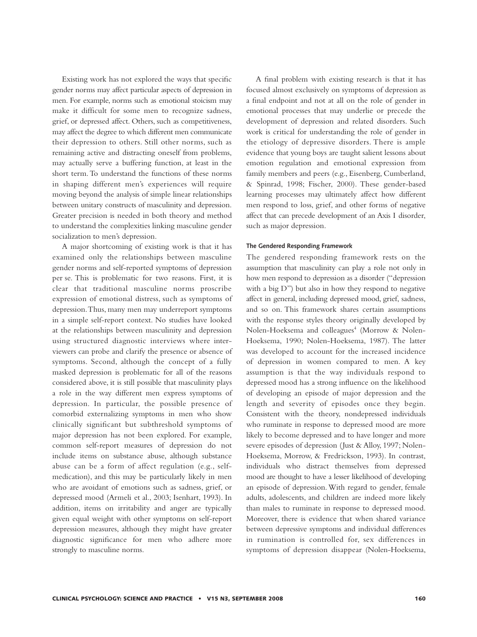Existing work has not explored the ways that specific gender norms may affect particular aspects of depression in men. For example, norms such as emotional stoicism may make it difficult for some men to recognize sadness, grief, or depressed affect. Others, such as competitiveness, may affect the degree to which different men communicate their depression to others. Still other norms, such as remaining active and distracting oneself from problems, may actually serve a buffering function, at least in the short term. To understand the functions of these norms in shaping different men's experiences will require moving beyond the analysis of simple linear relationships between unitary constructs of masculinity and depression. Greater precision is needed in both theory and method to understand the complexities linking masculine gender socialization to men's depression.

A major shortcoming of existing work is that it has examined only the relationships between masculine gender norms and self-reported symptoms of depression per se. This is problematic for two reasons. First, it is clear that traditional masculine norms proscribe expression of emotional distress, such as symptoms of depression. Thus, many men may underreport symptoms in a simple self-report context. No studies have looked at the relationships between masculinity and depression using structured diagnostic interviews where interviewers can probe and clarify the presence or absence of symptoms. Second, although the concept of a fully masked depression is problematic for all of the reasons considered above, it is still possible that masculinity plays a role in the way different men express symptoms of depression. In particular, the possible presence of comorbid externalizing symptoms in men who show clinically significant but subthreshold symptoms of major depression has not been explored. For example, common self-report measures of depression do not include items on substance abuse, although substance abuse can be a form of affect regulation (e.g., selfmedication), and this may be particularly likely in men who are avoidant of emotions such as sadness, grief, or depressed mood (Armeli et al., 2003; Isenhart, 1993). In addition, items on irritability and anger are typically given equal weight with other symptoms on self-report depression measures, although they might have greater diagnostic significance for men who adhere more strongly to masculine norms.

A final problem with existing research is that it has focused almost exclusively on symptoms of depression as a final endpoint and not at all on the role of gender in emotional processes that may underlie or precede the development of depression and related disorders. Such work is critical for understanding the role of gender in the etiology of depressive disorders. There is ample evidence that young boys are taught salient lessons about emotion regulation and emotional expression from family members and peers (e.g., Eisenberg, Cumberland, & Spinrad, 1998; Fischer, 2000). These gender-based learning processes may ultimately affect how different men respond to loss, grief, and other forms of negative affect that can precede development of an Axis I disorder, such as major depression.

## **The Gendered Responding Framework**

The gendered responding framework rests on the assumption that masculinity can play a role not only in how men respond to depression as a disorder ("depression with a big D") but also in how they respond to negative affect in general, including depressed mood, grief, sadness, and so on. This framework shares certain assumptions with the response styles theory originally developed by Nolen-Hoeksema and colleagues<sup>4</sup> (Morrow & Nolen-Hoeksema, 1990; Nolen-Hoeksema, 1987). The latter was developed to account for the increased incidence of depression in women compared to men. A key assumption is that the way individuals respond to depressed mood has a strong influence on the likelihood of developing an episode of major depression and the length and severity of episodes once they begin. Consistent with the theory, nondepressed individuals who ruminate in response to depressed mood are more likely to become depressed and to have longer and more severe episodes of depression (Just & Alloy, 1997; Nolen-Hoeksema, Morrow, & Fredrickson, 1993). In contrast, individuals who distract themselves from depressed mood are thought to have a lesser likelihood of developing an episode of depression. With regard to gender, female adults, adolescents, and children are indeed more likely than males to ruminate in response to depressed mood. Moreover, there is evidence that when shared variance between depressive symptoms and individual differences in rumination is controlled for, sex differences in symptoms of depression disappear (Nolen-Hoeksema,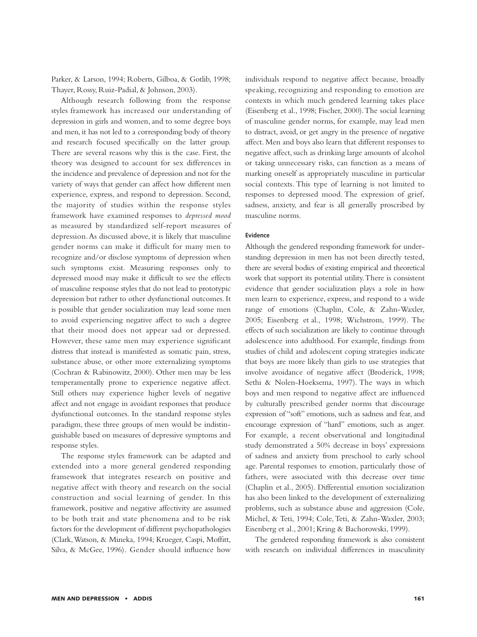Parker, & Larson, 1994; Roberts, Gilboa, & Gotlib, 1998; Thayer, Rossy, Ruiz-Padial, & Johnson, 2003).

Although research following from the response styles framework has increased our understanding of depression in girls and women, and to some degree boys and men, it has not led to a corresponding body of theory and research focused specifically on the latter group. There are several reasons why this is the case. First, the theory was designed to account for sex differences in the incidence and prevalence of depression and not for the variety of ways that gender can affect how different men experience, express, and respond to depression. Second, the majority of studies within the response styles framework have examined responses to *depressed mood* as measured by standardized self-report measures of depression. As discussed above, it is likely that masculine gender norms can make it difficult for many men to recognize and/or disclose symptoms of depression when such symptoms exist. Measuring responses only to depressed mood may make it difficult to see the effects of masculine response styles that do not lead to prototypic depression but rather to other dysfunctional outcomes. It is possible that gender socialization may lead some men to avoid experiencing negative affect to such a degree that their mood does not appear sad or depressed. However, these same men may experience significant distress that instead is manifested as somatic pain, stress, substance abuse, or other more externalizing symptoms (Cochran & Rabinowitz, 2000). Other men may be less temperamentally prone to experience negative affect. Still others may experience higher levels of negative affect and not engage in avoidant responses that produce dysfunctional outcomes. In the standard response styles paradigm, these three groups of men would be indistinguishable based on measures of depressive symptoms and response styles.

The response styles framework can be adapted and extended into a more general gendered responding framework that integrates research on positive and negative affect with theory and research on the social construction and social learning of gender. In this framework, positive and negative affectivity are assumed to be both trait and state phenomena and to be risk factors for the development of different psychopathologies (Clark, Watson, & Mineka, 1994; Krueger, Caspi, Moffitt, Silva, & McGee, 1996). Gender should influence how individuals respond to negative affect because, broadly speaking, recognizing and responding to emotion are contexts in which much gendered learning takes place (Eisenberg et al., 1998; Fischer, 2000). The social learning of masculine gender norms, for example, may lead men to distract, avoid, or get angry in the presence of negative affect. Men and boys also learn that different responses to negative affect, such as drinking large amounts of alcohol or taking unnecessary risks, can function as a means of marking oneself as appropriately masculine in particular social contexts. This type of learning is not limited to responses to depressed mood. The expression of grief, sadness, anxiety, and fear is all generally proscribed by masculine norms.

## **Evidence**

Although the gendered responding framework for understanding depression in men has not been directly tested, there are several bodies of existing empirical and theoretical work that support its potential utility. There is consistent evidence that gender socialization plays a role in how men learn to experience, express, and respond to a wide range of emotions (Chaplin, Cole, & Zahn-Waxler, 2005; Eisenberg et al., 1998; Wichstrom, 1999). The effects of such socialization are likely to continue through adolescence into adulthood. For example, findings from studies of child and adolescent coping strategies indicate that boys are more likely than girls to use strategies that involve avoidance of negative affect (Broderick, 1998; Sethi & Nolen-Hoeksema, 1997). The ways in which boys and men respond to negative affect are influenced by culturally prescribed gender norms that discourage expression of "soft" emotions, such as sadness and fear, and encourage expression of "hard" emotions, such as anger. For example, a recent observational and longitudinal study demonstrated a 50% decrease in boys' expressions of sadness and anxiety from preschool to early school age. Parental responses to emotion, particularly those of fathers, were associated with this decrease over time (Chaplin et al., 2005). Differential emotion socialization has also been linked to the development of externalizing problems, such as substance abuse and aggression (Cole, Michel, & Teti, 1994; Cole, Teti, & Zahn-Waxler, 2003; Eisenberg et al., 2001; Kring & Bachorowski, 1999).

The gendered responding framework is also consistent with research on individual differences in masculinity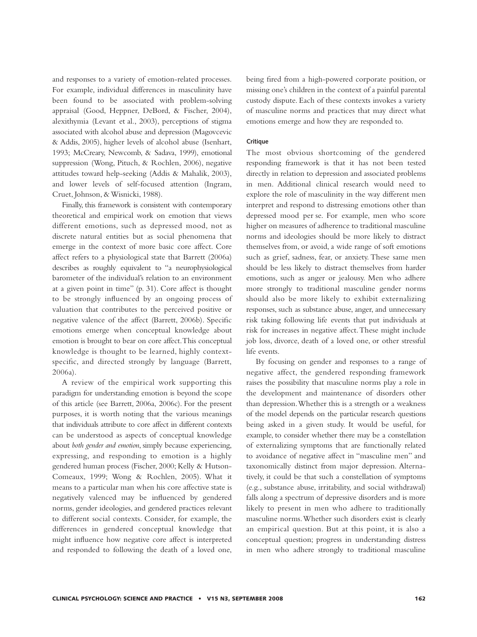and responses to a variety of emotion-related processes. For example, individual differences in masculinity have been found to be associated with problem-solving appraisal (Good, Heppner, DeBord, & Fischer, 2004), alexithymia (Levant et al., 2003), perceptions of stigma associated with alcohol abuse and depression (Magovcevic & Addis, 2005), higher levels of alcohol abuse (Isenhart, 1993; McCreary, Newcomb, & Sadava, 1999), emotional suppression (Wong, Pituch, & Rochlen, 2006), negative attitudes toward help-seeking (Addis & Mahalik, 2003), and lower levels of self-focused attention (Ingram, Cruet, Johnson, & Wisnicki, 1988).

Finally, this framework is consistent with contemporary theoretical and empirical work on emotion that views different emotions, such as depressed mood, not as discrete natural entities but as social phenomena that emerge in the context of more basic core affect. Core affect refers to a physiological state that Barrett (2006a) describes as roughly equivalent to "a neurophysiological barometer of the individual's relation to an environment at a given point in time" (p. 31). Core affect is thought to be strongly influenced by an ongoing process of valuation that contributes to the perceived positive or negative valence of the affect (Barrett, 2006b). Specific emotions emerge when conceptual knowledge about emotion is brought to bear on core affect. This conceptual knowledge is thought to be learned, highly contextspecific, and directed strongly by language (Barrett, 2006a).

A review of the empirical work supporting this paradigm for understanding emotion is beyond the scope of this article (see Barrett, 2006a, 2006c). For the present purposes, it is worth noting that the various meanings that individuals attribute to core affect in different contexts can be understood as aspects of conceptual knowledge about *both gender and emotion*, simply because experiencing, expressing, and responding to emotion is a highly gendered human process (Fischer, 2000; Kelly & Hutson-Comeaux, 1999; Wong & Rochlen, 2005). What it means to a particular man when his core affective state is negatively valenced may be influenced by gendered norms, gender ideologies, and gendered practices relevant to different social contexts. Consider, for example, the differences in gendered conceptual knowledge that might influence how negative core affect is interpreted and responded to following the death of a loved one,

being fired from a high-powered corporate position, or missing one's children in the context of a painful parental custody dispute. Each of these contexts invokes a variety of masculine norms and practices that may direct what emotions emerge and how they are responded to.

# **Critique**

The most obvious shortcoming of the gendered responding framework is that it has not been tested directly in relation to depression and associated problems in men. Additional clinical research would need to explore the role of masculinity in the way different men interpret and respond to distressing emotions other than depressed mood per se. For example, men who score higher on measures of adherence to traditional masculine norms and ideologies should be more likely to distract themselves from, or avoid, a wide range of soft emotions such as grief, sadness, fear, or anxiety. These same men should be less likely to distract themselves from harder emotions, such as anger or jealousy. Men who adhere more strongly to traditional masculine gender norms should also be more likely to exhibit externalizing responses, such as substance abuse, anger, and unnecessary risk taking following life events that put individuals at risk for increases in negative affect. These might include job loss, divorce, death of a loved one, or other stressful life events.

By focusing on gender and responses to a range of negative affect, the gendered responding framework raises the possibility that masculine norms play a role in the development and maintenance of disorders other than depression. Whether this is a strength or a weakness of the model depends on the particular research questions being asked in a given study. It would be useful, for example, to consider whether there may be a constellation of externalizing symptoms that are functionally related to avoidance of negative affect in "masculine men" and taxonomically distinct from major depression. Alternatively, it could be that such a constellation of symptoms (e.g., substance abuse, irritability, and social withdrawal) falls along a spectrum of depressive disorders and is more likely to present in men who adhere to traditionally masculine norms. Whether such disorders exist is clearly an empirical question. But at this point, it is also a conceptual question; progress in understanding distress in men who adhere strongly to traditional masculine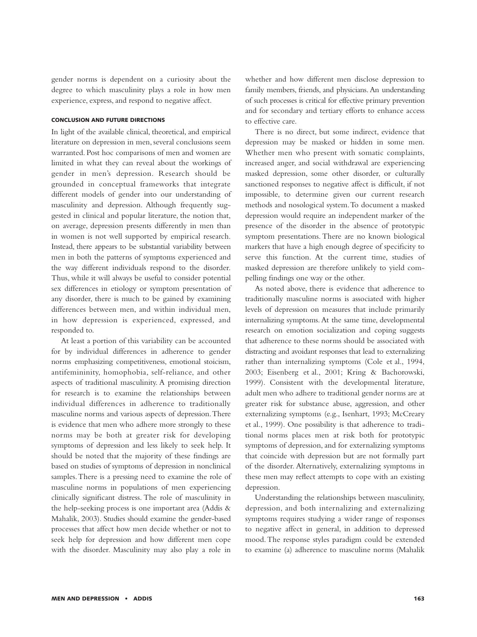gender norms is dependent on a curiosity about the degree to which masculinity plays a role in how men experience, express, and respond to negative affect.

# **CONCLUSION AND FUTURE DIRECTIONS**

In light of the available clinical, theoretical, and empirical literature on depression in men, several conclusions seem warranted. Post hoc comparisons of men and women are limited in what they can reveal about the workings of gender in men's depression. Research should be grounded in conceptual frameworks that integrate different models of gender into our understanding of masculinity and depression. Although frequently suggested in clinical and popular literature, the notion that, on average, depression presents differently in men than in women is not well supported by empirical research. Instead, there appears to be substantial variability between men in both the patterns of symptoms experienced and the way different individuals respond to the disorder. Thus, while it will always be useful to consider potential sex differences in etiology or symptom presentation of any disorder, there is much to be gained by examining differences between men, and within individual men, in how depression is experienced, expressed, and responded to.

At least a portion of this variability can be accounted for by individual differences in adherence to gender norms emphasizing competitiveness, emotional stoicism, antifemininity, homophobia, self-reliance, and other aspects of traditional masculinity. A promising direction for research is to examine the relationships between individual differences in adherence to traditionally masculine norms and various aspects of depression. There is evidence that men who adhere more strongly to these norms may be both at greater risk for developing symptoms of depression and less likely to seek help. It should be noted that the majority of these findings are based on studies of symptoms of depression in nonclinical samples. There is a pressing need to examine the role of masculine norms in populations of men experiencing clinically significant distress. The role of masculinity in the help-seeking process is one important area (Addis & Mahalik, 2003). Studies should examine the gender-based processes that affect how men decide whether or not to seek help for depression and how different men cope with the disorder. Masculinity may also play a role in

whether and how different men disclose depression to family members, friends, and physicians. An understanding of such processes is critical for effective primary prevention and for secondary and tertiary efforts to enhance access to effective care.

There is no direct, but some indirect, evidence that depression may be masked or hidden in some men. Whether men who present with somatic complaints, increased anger, and social withdrawal are experiencing masked depression, some other disorder, or culturally sanctioned responses to negative affect is difficult, if not impossible, to determine given our current research methods and nosological system. To document a masked depression would require an independent marker of the presence of the disorder in the absence of prototypic symptom presentations. There are no known biological markers that have a high enough degree of specificity to serve this function. At the current time, studies of masked depression are therefore unlikely to yield compelling findings one way or the other.

As noted above, there is evidence that adherence to traditionally masculine norms is associated with higher levels of depression on measures that include primarily internalizing symptoms. At the same time, developmental research on emotion socialization and coping suggests that adherence to these norms should be associated with distracting and avoidant responses that lead to externalizing rather than internalizing symptoms (Cole et al., 1994, 2003; Eisenberg et al., 2001; Kring & Bachorowski, 1999). Consistent with the developmental literature, adult men who adhere to traditional gender norms are at greater risk for substance abuse, aggression, and other externalizing symptoms (e.g., Isenhart, 1993; McCreary et al., 1999). One possibility is that adherence to traditional norms places men at risk both for prototypic symptoms of depression, and for externalizing symptoms that coincide with depression but are not formally part of the disorder. Alternatively, externalizing symptoms in these men may reflect attempts to cope with an existing depression.

Understanding the relationships between masculinity, depression, and both internalizing and externalizing symptoms requires studying a wider range of responses to negative affect in general, in addition to depressed mood. The response styles paradigm could be extended to examine (a) adherence to masculine norms (Mahalik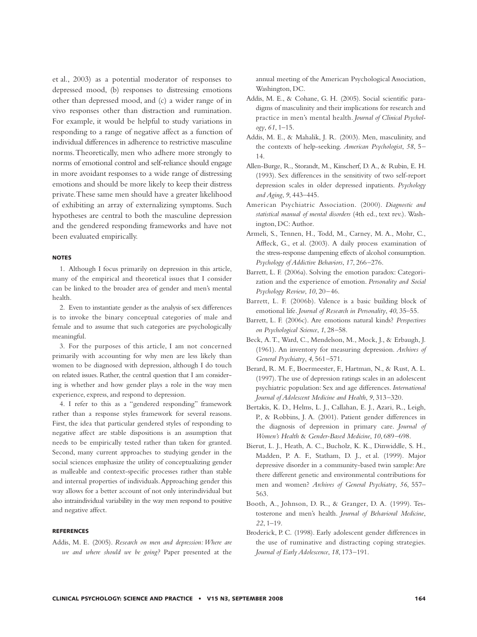et al., 2003) as a potential moderator of responses to depressed mood, (b) responses to distressing emotions other than depressed mood, and (c) a wider range of in vivo responses other than distraction and rumination. For example, it would be helpful to study variations in responding to a range of negative affect as a function of individual differences in adherence to restrictive masculine norms. Theoretically, men who adhere more strongly to norms of emotional control and self-reliance should engage in more avoidant responses to a wide range of distressing emotions and should be more likely to keep their distress private. These same men should have a greater likelihood of exhibiting an array of externalizing symptoms. Such hypotheses are central to both the masculine depression and the gendered responding frameworks and have not been evaluated empirically.

# **NOTES**

1. Although I focus primarily on depression in this article, many of the empirical and theoretical issues that I consider can be linked to the broader area of gender and men's mental health.

2. Even to instantiate gender as the analysis of sex differences is to invoke the binary conceptual categories of male and female and to assume that such categories are psychologically meaningful.

3. For the purposes of this article, I am not concerned primarily with accounting for why men are less likely than women to be diagnosed with depression, although I do touch on related issues. Rather, the central question that I am considering is whether and how gender plays a role in the way men experience, express, and respond to depression.

4. I refer to this as a "gendered responding" framework rather than a response styles framework for several reasons. First, the idea that particular gendered styles of responding to negative affect are stable dispositions is an assumption that needs to be empirically tested rather than taken for granted. Second, many current approaches to studying gender in the social sciences emphasize the utility of conceptualizing gender as malleable and context-specific processes rather than stable and internal properties of individuals. Approaching gender this way allows for a better account of not only interindividual but also intraindividual variability in the way men respond to positive and negative affect.

# **REFERENCES**

Addis, M. E. (2005). *Research on men and depression: Where are we and where should we be going?* Paper presented at the annual meeting of the American Psychological Association, Washington, DC.

- Addis, M. E., & Cohane, G. H. (2005). Social scientific paradigms of masculinity and their implications for research and practice in men's mental health. *Journal of Clinical Psychology*, *61*, 1–15.
- Addis, M. E., & Mahalik, J. R. (2003). Men, masculinity, and the contexts of help-seeking. *American Psychologist*, *58*, 5– 14.
- Allen-Burge, R., Storandt, M., Kinscherf, D. A., & Rubin, E. H. (1993). Sex differences in the sensitivity of two self-report depression scales in older depressed inpatients. *Psychology and Aging*, *9*, 443–445.
- American Psychiatric Association. (2000). *Diagnostic and statistical manual of mental disorders* (4th ed., text rev.). Washington, DC: Author.
- Armeli, S., Tennen, H., Todd, M., Carney, M. A., Mohr, C., Affleck, G., et al. (2003). A daily process examination of the stress-response dampening effects of alcohol consumption. *Psychology of Addictive Behaviors*, *17*, 266–276.
- Barrett, L. F. (2006a). Solving the emotion paradox: Categorization and the experience of emotion. *Personality and Social Psychology Review*, *10*, 20–46.
- Barrett, L. F. (2006b). Valence is a basic building block of emotional life. *Journal of Research in Personality*, *40*, 35–55.
- Barrett, L. F. (2006c). Are emotions natural kinds? *Perspectives on Psychological Science*, *1*, 28–58.
- Beck, A. T., Ward, C., Mendelson, M., Mock, J., & Erbaugh, J. (1961). An inventory for measuring depression. *Archives of General Psychiatry*, *4*, 561–571.
- Berard, R. M. F., Boermeester, F., Hartman, N., & Rust, A. L. (1997). The use of depression ratings scales in an adolescent psychiatric population: Sex and age differences. *International Journal of Adolescent Medicine and Health*, *9*, 313–320.
- Bertakis, K. D., Helms, L. J., Callahan, E. J., Azari, R., Leigh, P., & Robbins, J. A. (2001). Patient gender differences in the diagnosis of depression in primary care. *Journal of Women's Health* & *Gender-Based Medicine*, *10*, 689–698.
- Bierut, L. J., Heath, A. C., Bucholz, K. K., Dinwiddle, S. H., Madden, P. A. F., Statham, D. J., et al. (1999). Major depressive disorder in a community-based twin sample: Are there different genetic and environmental contributions for men and women? *Archives of General Psychiatry*, *56*, 557– 563.
- Booth, A., Johnson, D. R., & Granger, D. A. (1999). Testosterone and men's health. *Journal of Behavioral Medicine*, *22*, 1–19.
- Broderick, P. C. (1998). Early adolescent gender differences in the use of ruminative and distracting coping strategies. *Journal of Early Adolescence*, *18*, 173–191.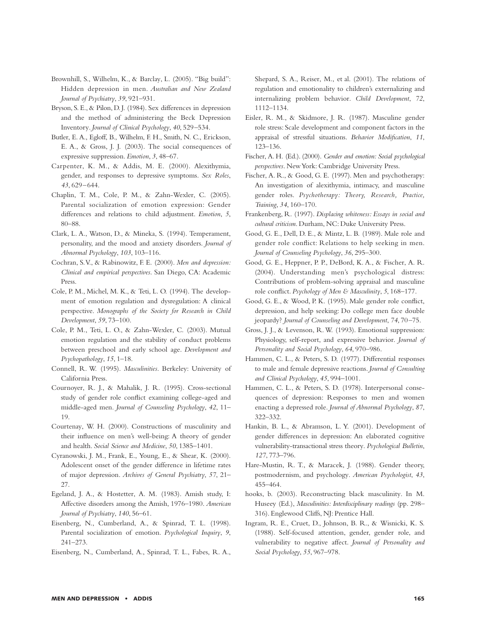- Brownhill, S., Wilhelm, K., & Barclay, L. (2005). "Big build": Hidden depression in men. *Australian and New Zealand Journal of Psychiatry*, *39*, 921–931.
- Bryson, S. E., & Pilon, D. J. (1984). Sex differences in depression and the method of administering the Beck Depression Inventory. *Journal of Clinical Psychology*, *40*, 529–534.
- Butler, E. A., Egloff, B., Wilhelm, F. H., Smith, N. C., Erickson, E. A., & Gross, J. J. (2003). The social consequences of expressive suppression. *Emotion*, *3*, 48–67.
- Carpenter, K. M., & Addis, M. E. (2000). Alexithymia, gender, and responses to depressive symptoms. *Sex Roles*, *43*, 629–644.
- Chaplin, T. M., Cole, P. M., & Zahn-Wexler, C. (2005). Parental socialization of emotion expression: Gender differences and relations to child adjustment. *Emotion*, *5*, 80–88.
- Clark, L. A., Watson, D., & Mineka, S. (1994). Temperament, personality, and the mood and anxiety disorders. *Journal of Abnormal Psychology*, *103*, 103–116.
- Cochran, S. V., & Rabinowitz, F. E. (2000). *Men and depression: Clinical and empirical perspectives*. San Diego, CA: Academic Press.
- Cole, P. M., Michel, M. K., & Teti, L. O. (1994). The development of emotion regulation and dysregulation: A clinical perspective. *Monographs of the Society for Research in Child Development*, *59*, 73–100.
- Cole, P. M., Teti, L. O., & Zahn-Wexler, C. (2003). Mutual emotion regulation and the stability of conduct problems between preschool and early school age. *Development and Psychopathology*, *15*, 1–18.
- Connell, R. W. (1995). *Masculinities*. Berkeley: University of California Press.
- Cournoyer, R. J., & Mahalik, J. R. (1995). Cross-sectional study of gender role conflict examining college-aged and middle-aged men. *Journal of Counseling Psychology*, *42*, 11– 19.
- Courtenay, W. H. (2000). Constructions of masculinity and their influence on men's well-being: A theory of gender and health. *Social Science and Medicine*, *50*, 1385–1401.
- Cyranowski, J. M., Frank, E., Young, E., & Shear, K. (2000). Adolescent onset of the gender difference in lifetime rates of major depression. *Archives of General Psychiatry*, *57*, 21– 27.
- Egeland, J. A., & Hostetter, A. M. (1983). Amish study, I: Affective disorders among the Amish, 1976–1980. *American Journal of Psychiatry*, *140*, 56–61.
- Eisenberg, N., Cumberland, A., & Spinrad, T. L. (1998). Parental socialization of emotion. *Psychological Inquiry*, *9*, 241–273.
- Eisenberg, N., Cumberland, A., Spinrad, T. L., Fabes, R. A.,

Shepard, S. A., Reiser, M., et al. (2001). The relations of regulation and emotionality to children's externalizing and internalizing problem behavior. *Child Development*, *72*, 1112–1134.

- Eisler, R. M., & Skidmore, J. R. (1987). Masculine gender role stress: Scale development and component factors in the appraisal of stressful situations. *Behavior Modification*, *11*, 123–136.
- Fischer, A. H. (Ed.). (2000). *Gender and emotion: Social psychological perspectives*. New York: Cambridge University Press.
- Fischer, A. R., & Good, G. E. (1997). Men and psychotherapy: An investigation of alexithymia, intimacy, and masculine gender roles. *Psychotherapy: Theory, Research, Practice, Training*, *34*, 160–170.
- Frankenberg, R. (1997). *Displacing whiteness: Essays in social and cultural criticism*. Durham, NC: Duke University Press.
- Good, G. E., Dell, D. E., & Mintz, L. B. (1989). Male role and gender role conflict: Relations to help seeking in men. *Journal of Counseling Psychology*, *36*, 295–300.
- Good, G. E., Heppner, P. P., DeBord, K. A., & Fischer, A. R. (2004). Understanding men's psychological distress: Contributions of problem-solving appraisal and masculine role conflict. *Psychology of Men & Masculinity*, *5*, 168–177.
- Good, G. E., & Wood, P. K. (1995). Male gender role conflict, depression, and help seeking: Do college men face double jeopardy? *Journal of Counseling and Development*, *74*, 70–75.
- Gross, J. J., & Levenson, R. W. (1993). Emotional suppression: Physiology, self-report, and expressive behavior. *Journal of Personality and Social Psychology*, *64*, 970–986.
- Hammen, C. L., & Peters, S. D. (1977). Differential responses to male and female depressive reactions. *Journal of Consulting and Clinical Psychology*, *45*, 994–1001.
- Hammen, C. L., & Peters, S. D. (1978). Interpersonal consequences of depression: Responses to men and women enacting a depressed role. *Journal of Abnormal Psychology*, *87*, 322–332.
- Hankin, B. L., & Abramson, L. Y. (2001). Development of gender differences in depression: An elaborated cognitive vulnerability-transactional stress theory. *Psychological Bulletin*, *127*, 773–796.
- Hare-Mustin, R. T., & Maracek, J. (1988). Gender theory, postmodernism, and psychology. *American Psychologist*, *43*, 455–464.
- hooks, b. (2003). Reconstructing black masculinity. In M. Huseey (Ed.), *Masculinities: Interdisciplinary readings* (pp. 298– 316). Englewood Cliffs, NJ: Prentice Hall.
- Ingram, R. E., Cruet, D., Johnson, B. R., & Wisnicki, K. S. (1988). Self-focused attention, gender, gender role, and vulnerability to negative affect. *Journal of Personality and Social Psychology*, *55*, 967–978.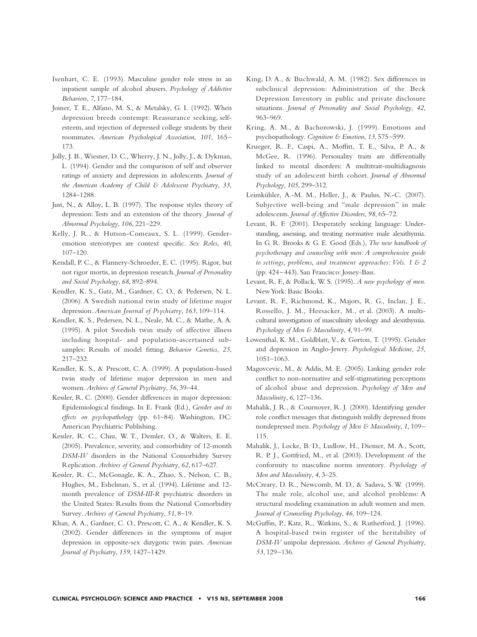- Isenhart, C. E. (1993). Masculine gender role stress in an inpatient sample of alcohol abusers. *Psychology of Addictive Behaviors*, *7*, 177–184.
- Joiner, T. E., Alfano, M. S., & Metalsky, G. I. (1992). When depression breeds contempt: Reassurance seeking, selfesteem, and rejection of depressed college students by their roommates. *American Psychological Association*, *101*, 165– 173.
- Jolly, J. B., Wiesner, D. C., Wherry, J. N., Jolly, J., & Dykman, L. (1994). Gender and the comparison of self and observer ratings of anxiety and depression in adolescents. *Journal of the American Academy of Child & Adolescent Psychiatry*, *33*, 1284–1288.
- Just, N., & Alloy, L. B. (1997). The response styles theory of depression: Tests and an extension of the theory. *Journal of Abnormal Psychology*, *106*, 221–229.
- Kelly, J. R., & Hutson-Comeaux, S. L. (1999). Genderemotion stereotypes are context specific. *Sex Roles*, *40*, 107–120.
- Kendall, P. C., & Flannery-Schroeder, E. C. (1995). Rigor, but not rigor mortis, in depression research. *Journal of Personality and Social Psychology*, *68*, 892–894.
- Kendler, K. S., Gatz, M., Gardner, C. O., & Pedersen, N. L. (2006). A Swedish national twin study of lifetime major depression. *American Journal of Psychiatry*, *163*, 109–114.
- Kendler, K. S., Pedersen, N. L., Neale, M. C., & Mathe, A. A. (1995). A pilot Swedish twin study of affective illness including hospital- and population-ascertained subsamples: Results of model fitting. *Behavior Genetics*, *25*, 217–232.
- Kendler, K. S., & Prescott, C. A. (1999). A population-based twin study of lifetime major depression in men and women. *Archives of General Psychiatry*, *56*, 39–44.
- Kessler, R. C. (2000). Gender differences in major depression: Epidemiological findings. In E. Frank (Ed.), *Gender and its effects on psychopathology* (pp. 61–84). Washington, DC: American Psychiatric Publishing.
- Kessler, R. C., Chiu, W. T., Demler, O., & Walters, E. E. (2005). Prevalence, severity, and comorbidity of 12-month *DSM-IV* disorders in the National Comorbidity Survey Replication. *Archives of General Psychiatry*, *62*, 617–627.
- Kessler, R. C., McGonagle, K. A., Zhao, S., Nelson, C. B., Hughes, M., Eshelman, S., et al. (1994). Lifetime and 12 month prevalence of *DSM-III-R* psychiatric disorders in the United States: Results from the National Comorbidity Survey. *Archives of General Psychiatry*, *51*, 8–19.
- Khan, A. A., Gardner, C. O., Prescott, C. A., & Kendler, K. S. (2002). Gender differences in the symptoms of major depression in opposite-sex dizygotic twin pairs. *American Journal of Psychiatry*, *159*, 1427–1429.
- King, D. A., & Buchwald, A. M. (1982). Sex differences in subclinical depression: Administration of the Beck Depression Inventory in public and private disclosure situations. *Journal of Personality and Social Psychology*, *42*, 963–969.
- Kring, A. M., & Bachorowski, J. (1999). Emotions and psychopathology. *Cognition & Emotion*, *13*, 575–599.
- Krueger, R. F., Caspi, A., Moffitt, T. E., Silva, P. A., & McGee, R. (1996). Personality traits are differentially linked to mental disorders: A multitrait-multidiagnosis study of an adolescent birth cohort. *Journal of Abnormal Psychology*, *105*, 299–312.
- Leimkühler, A.-M. M., Heller, J., & Paulus, N.-C. (2007). Subjective well-being and "male depression" in male adolescents. *Journal of Affective Disorders*, *98*, 65–72.
- Levant, R. F. (2001). Desperately seeking language: Understanding, assessing, and treating normative male alexithymia. In G. R. Brooks & G. E. Good (Eds.), *The new handbook of psychotherapy and counseling with men: A comprehensive guide to settings, problems, and treatment approaches: Vols. 1 & 2* (pp. 424–443). San Francisco: Jossey-Bass.
- Levant, R. F., & Pollack, W. S. (1995). *A new psychology of men*. New York: Basic Books.
- Levant, R. F., Richmond, K., Majors, R. G., Inclan, J. E., Rossello, J. M., Heesacker, M., et al. (2003). A multicultural investigation of masculinity ideology and alexithymia. *Psychology of Men & Masculinity*, *4*, 91–99.
- Lowenthal, K. M., Goldblatt, V., & Gorton, T. (1995). Gender and depression in Anglo-Jewry. *Psychological Medicine*, *25*, 1051–1063.
- Magovcevic, M., & Addis, M. E. (2005). Linking gender role conflict to non-normative and self-stigmatizing perceptions of alcohol abuse and depression. *Psychology of Men and Masculinity*, *6*, 127–136.
- Mahalik, J. R., & Cournoyer, R. J. (2000). Identifying gender role conflict messages that distinguish mildly depressed from nondepressed men. *Psychology of Men & Masculinity*, *1*, 109– 115.
- Mahalik, J., Locke, B. D., Ludlow, H., Diemer, M. A., Scott, R. P. J., Gottfried, M., et al. (2003). Development of the conformity to masculine norms inventory. *Psychology of Men and Masculinity*, *4*, 3–25.
- McCreary, D. R., Newcomb, M. D., & Sadava, S. W. (1999). The male role, alcohol use, and alcohol problems: A structural modeling examination in adult women and men. *Journal of Counseling Psychology*, *46*, 109–124.
- McGuffin, P., Katz, R., Watkins, S., & Rutherford, J. (1996). A hospital-based twin register of the heritability of *DSM-IV* unipolar depression. *Archives of General Psychiatry*, *53*, 129–136.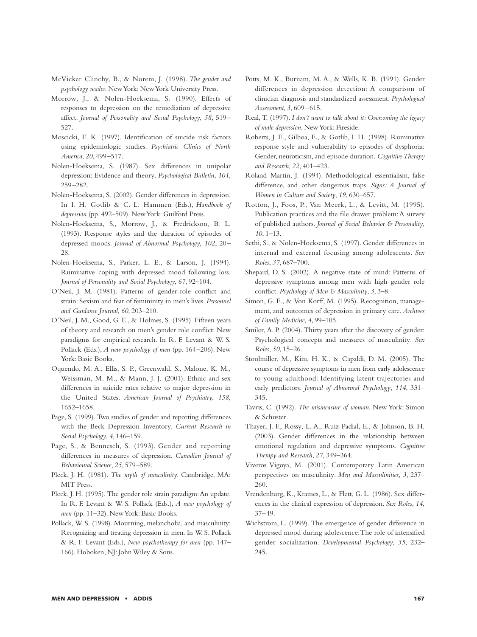- McVicker Clinchy, B., & Norem, J. (1998). *The gender and psychology reader*. New York: New York University Press.
- Morrow, J., & Nolen-Hoeksema, S. (1990). Effects of responses to depression on the remediation of depressive affect. *Journal of Personality and Social Psychology*, *58*, 519– 527.
- Moscicki, E. K. (1997). Identification of suicide risk factors using epidemiologic studies. *Psychiatric Clinics of North America*, *20*, 499–517.
- Nolen-Hoeksema, S. (1987). Sex differences in unipolar depression: Evidence and theory. *Psychological Bulletin*, *101*, 259–282.
- Nolen-Hoeksema, S. (2002). Gender differences in depression. In I. H. Gotlib & C. L. Hammen (Eds.), *Handbook of depression* (pp. 492–509). New York: Guilford Press.
- Nolen-Hoeksema, S., Morrow, J., & Fredrickson, B. L. (1993). Response styles and the duration of episodes of depressed moods. *Journal of Abnormal Psychology*, *102*, 20– 28.
- Nolen-Hoeksema, S., Parker, L. E., & Larson, J. (1994). Ruminative coping with depressed mood following loss. *Journal of Personality and Social Psychology*, *67*, 92–104.
- O'Neil, J. M. (1981). Patterns of gender-role conflict and strain: Sexism and fear of femininity in men's lives. *Personnel and Guidance Journal*, *60*, 203–210.
- O'Neil, J. M., Good, G. E., & Holmes, S. (1995). Fifteen years of theory and research on men's gender role conflict: New paradigms for empirical research. In R. F. Levant & W. S. Pollack (Eds.), *A new psychology of men* (pp. 164–206). New York: Basic Books.
- Oquendo, M. A., Ellis, S. P., Greenwald, S., Malone, K. M., Weissman, M. M., & Mann, J. J. (2001). Ethnic and sex differences in suicide rates relative to major depression in the United States. *American Journal of Psychiatry*, *158*, 1652–1658.
- Page, S. (1999). Two studies of gender and reporting differences with the Beck Depression Inventory. *Current Research in Social Psychology*, *4*, 146–159.
- Page, S., & Bennesch, S. (1993). Gender and reporting differences in measures of depression. *Canadian Journal of Behavioural Science*, *25*, 579–589.
- Pleck, J. H. (1981). *The myth of masculinity*. Cambridge, MA: MIT Press.
- Pleck, J. H. (1995). The gender role strain paradigm: An update. In R. F. Levant & W. S. Pollack (Eds.), *A new psychology of men* (pp. 11–32). New York: Basic Books.
- Pollack, W. S. (1998). Mourning, melancholia, and masculinity: Recognizing and treating depression in men. In W. S. Pollack & R. F. Levant (Eds.), *New psychotherapy for men* (pp. 147– 166). Hoboken, NJ: John Wiley & Sons.
- Potts, M. K., Burnam, M. A., & Wells, K. B. (1991). Gender differences in depression detection: A comparison of clinician diagnosis and standardized assessment. *Psychological Assessment*, *3*, 609–615.
- Real, T. (1997). *I don't want to talk about it: Overcoming the legacy of male depression*. New York: Fireside.
- Roberts, J. E., Gilboa, E., & Gotlib, I. H. (1998). Ruminative response style and vulnerability to episodes of dysphoria: Gender, neuroticism, and episode duration. *Cognitive Therapy and Research*, *22*, 401–423.
- Roland Martin, J. (1994). Methodological essentialism, false difference, and other dangerous traps. *Signs: A Journal of Women in Culture and Society*, *19*, 630–657.
- Rotton, J., Foos, P., Van Meerk, L., & Levitt, M. (1995). Publication practices and the file drawer problem: A survey of published authors. *Journal of Social Behavior & Personality*, *10*, 1–13.
- Sethi, S., & Nolen-Hoeksema, S. (1997). Gender differences in internal and external focusing among adolescents. *Sex Roles*, *37*, 687–700.
- Shepard, D. S. (2002). A negative state of mind: Patterns of depressive symptoms among men with high gender role conflict. *Psychology of Men & Masculinity*, *3*, 3–8.
- Simon, G. E., & Von Korff, M. (1995). Recognition, management, and outcomes of depression in primary care. *Archives of Family Medicine*, *4*, 99–105.
- Smiler, A. P. (2004). Thirty years after the discovery of gender: Psychological concepts and measures of masculinity. *Sex Roles*, *50*, 15–26.
- Stoolmiller, M., Kim, H. K., & Capaldi, D. M. (2005). The course of depressive symptoms in men from early adolescence to young adulthood: Identifying latent trajectories and early predictors. *Journal of Abnormal Psychology*, *114*, 331– 345.
- Tavris, C. (1992). *The mismeasure of woman*. New York: Simon & Schuster.
- Thayer, J. F., Rossy, L. A., Ruiz-Padial, E., & Johnson, B. H. (2003). Gender differences in the relationship between emotional regulation and depressive symptoms. *Cognitive Therapy and Research*, *27*, 349–364.
- Viveros Vigoya, M. (2001). Contemporary Latin American perspectives on masculinity. *Men and Masculinities*, *3*, 237– 260.
- Vrendenburg, K., Krames, L., & Flett, G. L. (1986). Sex differences in the clinical expression of depression. *Sex Roles*, *14*, 37–49.
- Wichstrom, L. (1999). The emergence of gender difference in depressed mood during adolescence: The role of intensified gender socialization. *Developmental Psychology*, *35*, 232– 245.